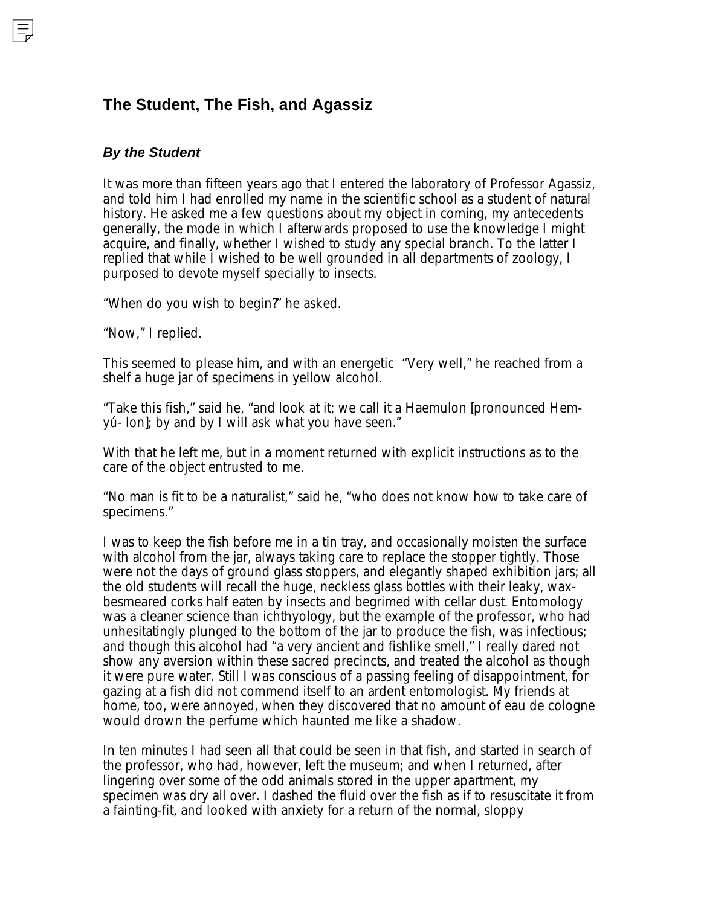## **The Student, The Fish, and Agassiz**

## *By the Student*

It was more than fifteen years ago that I entered the laboratory of Professor Agassiz, and told him I had enrolled my name in the scientific school as a student of natural history. He asked me a few questions about my object in coming, my antecedents generally, the mode in which I afterwards proposed to use the knowledge I might acquire, and finally, whether I wished to study any special branch. To the latter I replied that while I wished to be well grounded in all departments of zoology, I purposed to devote myself specially to insects.

"When do you wish to begin?" he asked.

"Now," I replied.

This seemed to please him, and with an energetic "Very well," he reached from a shelf a huge jar of specimens in yellow alcohol.

"Take this fish," said he, "and look at it; we call it a Haemulon [pronounced Hemyú- lon]; by and by I will ask what you have seen."

With that he left me, but in a moment returned with explicit instructions as to the care of the object entrusted to me.

"No man is fit to be a naturalist," said he, "who does not know how to take care of specimens."

I was to keep the fish before me in a tin tray, and occasionally moisten the surface with alcohol from the jar, always taking care to replace the stopper tightly. Those were not the days of ground glass stoppers, and elegantly shaped exhibition jars; all the old students will recall the huge, neckless glass bottles with their leaky, waxbesmeared corks half eaten by insects and begrimed with cellar dust. Entomology was a cleaner science than ichthyology, but the example of the professor, who had unhesitatingly plunged to the bottom of the jar to produce the fish, was infectious; and though this alcohol had "a very ancient and fishlike smell," I really dared not show any aversion within these sacred precincts, and treated the alcohol as though it were pure water. Still I was conscious of a passing feeling of disappointment, for gazing at a fish did not commend itself to an ardent entomologist. My friends at home, too, were annoyed, when they discovered that no amount of eau de cologne would drown the perfume which haunted me like a shadow.

In ten minutes I had seen all that could be seen in that fish, and started in search of the professor, who had, however, left the museum; and when I returned, after lingering over some of the odd animals stored in the upper apartment, my specimen was dry all over. I dashed the fluid over the fish as if to resuscitate it from a fainting-fit, and looked with anxiety for a return of the normal, sloppy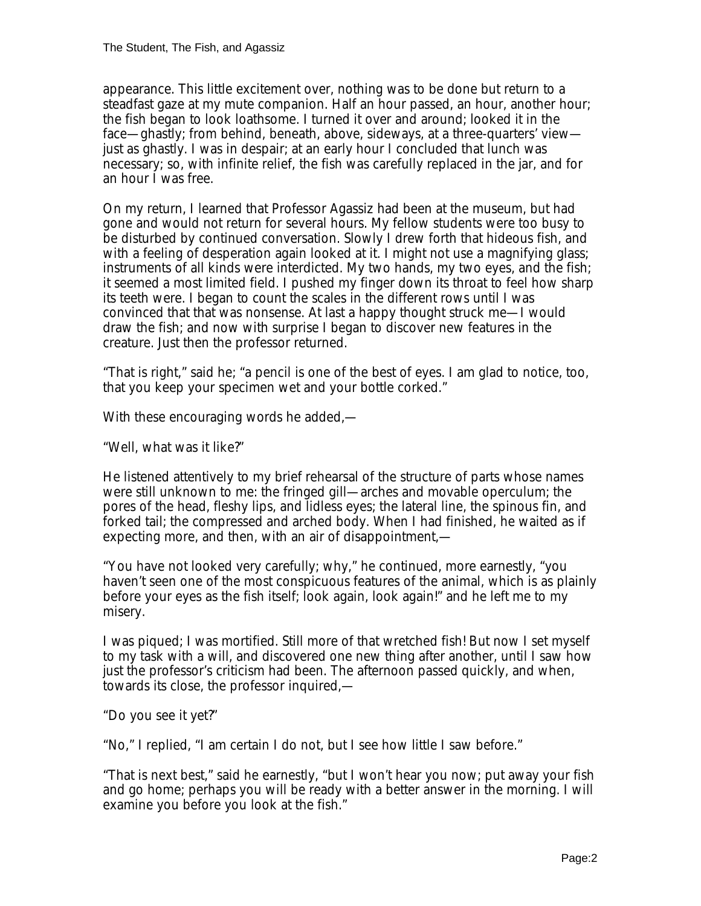appearance. This little excitement over, nothing was to be done but return to a steadfast gaze at my mute companion. Half an hour passed, an hour, another hour; the fish began to look loathsome. I turned it over and around; looked it in the face—ghastly; from behind, beneath, above, sideways, at a three-quarters' view just as ghastly. I was in despair; at an early hour I concluded that lunch was necessary; so, with infinite relief, the fish was carefully replaced in the jar, and for an hour I was free.

On my return, I learned that Professor Agassiz had been at the museum, but had gone and would not return for several hours. My fellow students were too busy to be disturbed by continued conversation. Slowly I drew forth that hideous fish, and with a feeling of desperation again looked at it. I might not use a magnifying glass; instruments of all kinds were interdicted. My two hands, my two eyes, and the fish; it seemed a most limited field. I pushed my finger down its throat to feel how sharp its teeth were. I began to count the scales in the different rows until I was convinced that that was nonsense. At last a happy thought struck me—I would draw the fish; and now with surprise I began to discover new features in the creature. Just then the professor returned.

"That is right," said he; "a pencil is one of the best of eyes. I am glad to notice, too, that you keep your specimen wet and your bottle corked."

With these encouraging words he added,—

"Well, what was it like?"

He listened attentively to my brief rehearsal of the structure of parts whose names were still unknown to me: the fringed gill—arches and movable operculum; the pores of the head, fleshy lips, and lidless eyes; the lateral line, the spinous fin, and forked tail; the compressed and arched body. When I had finished, he waited as if expecting more, and then, with an air of disappointment,—

"You have not looked very carefully; why," he continued, more earnestly, "you haven't seen one of the most conspicuous features of the animal, which is as plainly before your eyes as the fish itself; look again, look again!" and he left me to my misery.

I was piqued; I was mortified. Still more of that wretched fish! But now I set myself to my task with a will, and discovered one new thing after another, until I saw how just the professor's criticism had been. The afternoon passed quickly, and when, towards its close, the professor inquired,—

"Do you see it yet?"

"No," I replied, "I am certain I do not, but I see how little I saw before."

"That is next best," said he earnestly, "but I won't hear you now; put away your fish and go home; perhaps you will be ready with a better answer in the morning. I will examine you before you look at the fish."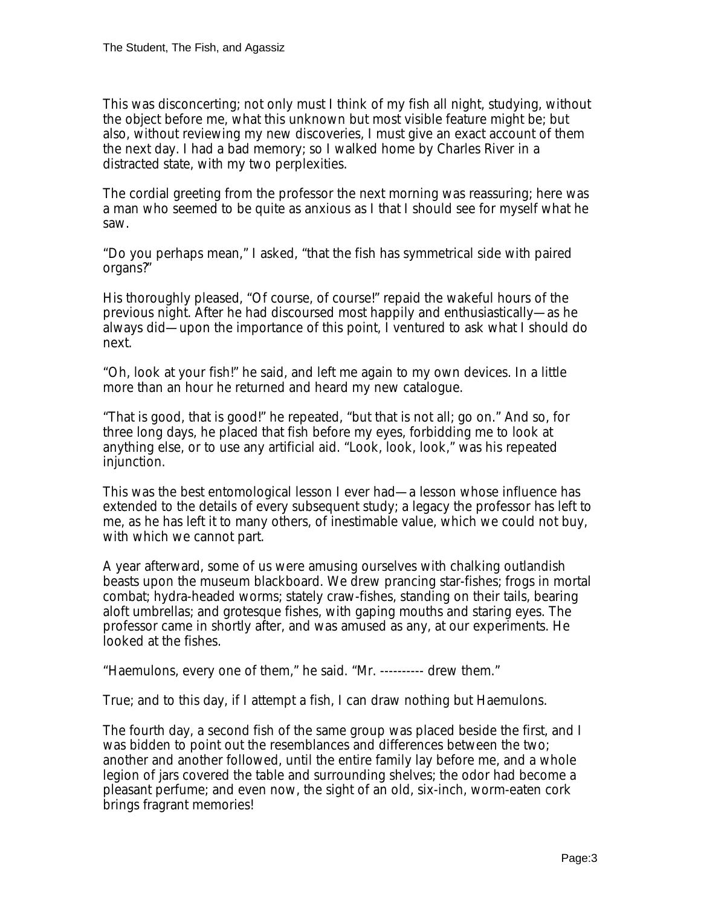This was disconcerting; not only must I think of my fish all night, studying, without the object before me, what this unknown but most visible feature might be; but also, without reviewing my new discoveries, I must give an exact account of them the next day. I had a bad memory; so I walked home by Charles River in a distracted state, with my two perplexities.

The cordial greeting from the professor the next morning was reassuring; here was a man who seemed to be quite as anxious as I that I should see for myself what he saw.

"Do you perhaps mean," I asked, "that the fish has symmetrical side with paired organs?"

His thoroughly pleased, "Of course, of course!" repaid the wakeful hours of the previous night. After he had discoursed most happily and enthusiastically—as he always did—upon the importance of this point, I ventured to ask what I should do next.

"Oh, look at your fish!" he said, and left me again to my own devices. In a little more than an hour he returned and heard my new catalogue.

"That is good, that is good!" he repeated, "but that is not all; go on." And so, for three long days, he placed that fish before my eyes, forbidding me to look at anything else, or to use any artificial aid. "Look, look, look," was his repeated injunction.

This was the best entomological lesson I ever had—a lesson whose influence has extended to the details of every subsequent study; a legacy the professor has left to me, as he has left it to many others, of inestimable value, which we could not buy, with which we cannot part.

A year afterward, some of us were amusing ourselves with chalking outlandish beasts upon the museum blackboard. We drew prancing star-fishes; frogs in mortal combat; hydra-headed worms; stately craw-fishes, standing on their tails, bearing aloft umbrellas; and grotesque fishes, with gaping mouths and staring eyes. The professor came in shortly after, and was amused as any, at our experiments. He looked at the fishes.

"Haemulons, every one of them," he said. "Mr. ---------- drew them."

True; and to this day, if I attempt a fish, I can draw nothing but Haemulons.

The fourth day, a second fish of the same group was placed beside the first, and I was bidden to point out the resemblances and differences between the two; another and another followed, until the entire family lay before me, and a whole legion of jars covered the table and surrounding shelves; the odor had become a pleasant perfume; and even now, the sight of an old, six-inch, worm-eaten cork brings fragrant memories!